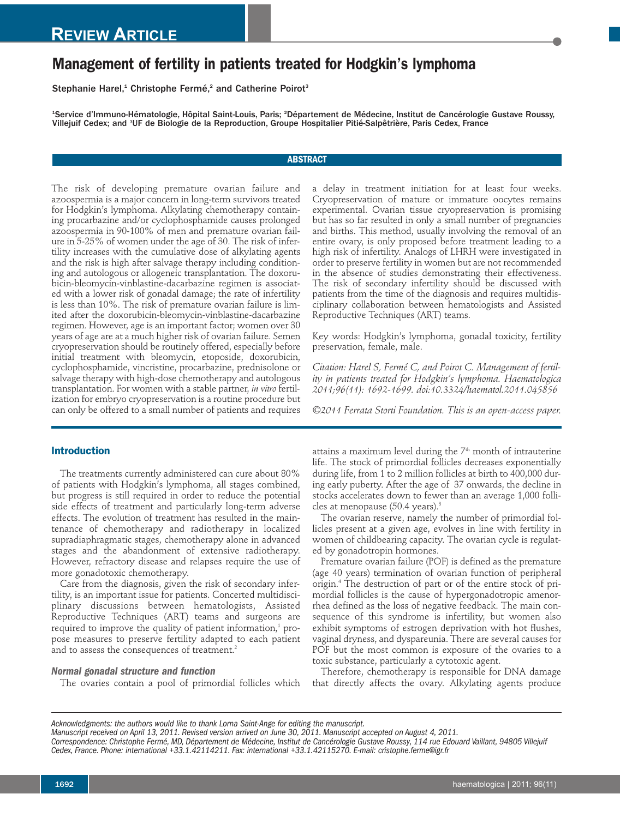# **REVIEW ARTICLE**

# **Management of fertility in patients treated for Hodgkin's lymphoma**

Stephanie Harel,<sup>1</sup> Christophe Fermé,<sup>2</sup> and Catherine Poirot<sup>3</sup>

1 Service d'Immuno-Hématologie, Hôpital Saint-Louis, Paris; <sup>2</sup> Département de Médecine, Institut de Cancérologie Gustave Roussy, Villejuif Cedex; and <sup>3</sup>UF de Biologie de la Reproduction, Groupe Hospitalier Pitié-Salpêtrière, Paris Cedex, France

# **ABSTRACT**

The risk of developing premature ovarian failure and azoospermia is a major concern in long-term survivors treated for Hodgkin's lymphoma. Alkylating chemotherapy containing procarbazine and/or cyclophosphamide causes prolonged azoospermia in 90-100% of men and premature ovarian failure in 5-25% of women under the age of 30. The risk of infertility increases with the cumulative dose of alkylating agents and the risk is high after salvage therapy including conditioning and autologous or allogeneic transplantation. The doxorubicin-bleomycin-vinblastine-dacarbazine regimen is associated with a lower risk of gonadal damage; the rate of infertility is less than 10%. The risk of premature ovarian failure is limited after the doxorubicin-bleomycin-vinblastine-dacarbazine regimen. However, age is an important factor; women over 30 years of age are at a much higher risk of ovarian failure. Semen cryopreservation should be routinely offered, especially before initial treatment with bleomycin, etoposide, doxorubicin, cyclophosphamide, vincristine, procarbazine, prednisolone or salvage therapy with high-dose chemotherapy and autologous transplantation. For women with a stable partner, *in vitro* fertilization for embryo cryopreservation is a routine procedure but can only be offered to a small number of patients and requires

**Introduction**

The treatments currently administered can cure about 80% of patients with Hodgkin's lymphoma, all stages combined, but progress is still required in order to reduce the potential side effects of treatment and particularly long-term adverse effects. The evolution of treatment has resulted in the maintenance of chemotherapy and radiotherapy in localized supradiaphragmatic stages, chemotherapy alone in advanced stages and the abandonment of extensive radiotherapy. However, refractory disease and relapses require the use of more gonadotoxic chemotherapy.

Care from the diagnosis, given the risk of secondary infertility, is an important issue for patients. Concerted multidisciplinary discussions between hematologists, Assisted Reproductive Techniques (ART) teams and surgeons are required to improve the quality of patient information, <sup>1</sup> propose measures to preserve fertility adapted to each patient and to assess the consequences of treatment. 2

## *Normal gonadal structure and function*

The ovaries contain a pool of primordial follicles which

a delay in treatment initiation for at least four weeks. Cryopreservation of mature or immature oocytes remains experimental. Ovarian tissue cryopreservation is promising but has so far resulted in only a small number of pregnancies and births. This method, usually involving the removal of an entire ovary, is only proposed before treatment leading to a high risk of infertility. Analogs of LHRH were investigated in order to preserve fertility in women but are not recommended in the absence of studies demonstrating their effectiveness. The risk of secondary infertility should be discussed with patients from the time of the diagnosis and requires multidisciplinary collaboration between hematologists and Assisted Reproductive Techniques (ART) teams.

Key words: Hodgkin's lymphoma, gonadal toxicity, fertility preservation, female, male.

*Citation: Harel S, Fermé C, and Poirot C. Management of fertility in patients treated for Hodgkin's lymphoma. Haematologica 2011;96(11): 1692-1699. doi:10.3324/haematol.2011.045856*

*©2011 Ferrata Storti Foundation. This is an open-access paper.*

attains a maximum level during the  $7<sup>th</sup>$  month of intrauterine life. The stock of primordial follicles decreases exponentially during life, from 1 to 2 million follicles at birth to 400,000 during early puberty. After the age of 37 onwards, the decline in stocks accelerates down to fewer than an average 1,000 follicles at menopause (50.4 years). 3

The ovarian reserve, namely the number of primordial follicles present at a given age, evolves in line with fertility in women of childbearing capacity. The ovarian cycle is regulated by gonadotropin hormones.

Premature ovarian failure (POF) is defined as the premature (age 40 years) termination of ovarian function of peripheral origin. <sup>4</sup> The destruction of part or of the entire stock of primordial follicles is the cause of hypergonadotropic amenorrhea defined as the loss of negative feedback. The main consequence of this syndrome is infertility, but women also exhibit symptoms of estrogen deprivation with hot flushes, vaginal dryness, and dyspareunia. There are several causes for POF but the most common is exposure of the ovaries to a toxic substance, particularly a cytotoxic agent.

Therefore, chemotherapy is responsible for DNA damage that directly affects the ovary. Alkylating agents produce

*Acknowledgments: the authors would like to thank Lorna Saint-Ange for editing the manuscript.*

Manuscript received on April 13, 2011. Revised version arrived on June 30, 2011. Manuscript accepted on August 4, 2011.

Correspondence: Christophe Fermé, MD, Département de Médecine, Institut de Cancérologie Gustave Roussy, 114 rue Edouard Vaillant, 94805 Villeiuif *Cedex, France. Phone: international +33.1.42114211. Fax: international +33.1.42115270. E-mail: cristophe.ferme@igr.fr*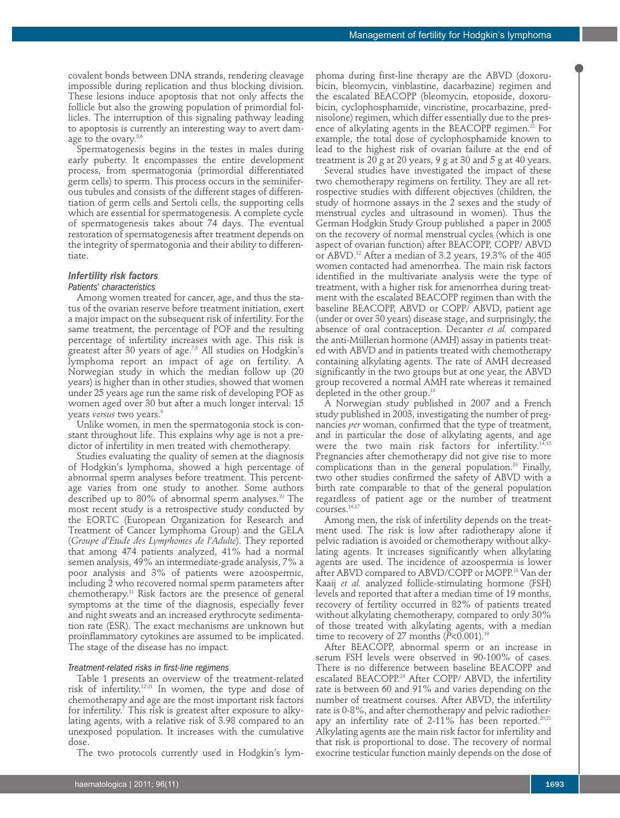covalent bonds between DNA strands, rendering cleavage impossible during replication and thus blocking division. These lesions induce apoptosis that not only affects the follicle but also the growing population of primordial follicles. The interruption of this signaling pathway leading to apoptosis is currently an interesting way to avert damage to the ovary. 5,6

Spermatogenesis begins in the testes in males during early puberty. It encompasses the entire development process, from spermatogonia (primordial differentiated germ cells) to sperm. This process occurs in the seminiferous tubules and consists of the different stages of differentiation of germ cells and Sertoli cells, the supporting cells which are essential for spermatogenesis. A complete cycle of spermatogenesis takes about 74 days. The eventual restoration of spermatogenesis after treatment depends on the integrity of spermatogonia and their ability to differentiate.

## *Infertility risk factors Patients' characteristics*

Among women treated for cancer, age, and thus the status of the ovarian reserve before treatment initiation, exert a major impact on the subsequent risk of infertility. For the same treatment, the percentage of POF and the resulting percentage of infertility increases with age. This risk is greatest after 30 years of age.<sup>7,8</sup> All studies on Hodgkin's lymphoma report an impact of age on fertility. A Norwegian study in which the median follow up (20 years) is higher than in other studies, showed that women under 25 years age run the same risk of developing POF as women aged over 30 but after a much longer interval: 15 years *versus* two years. 9

Unlike women, in men the spermatogonia stock is constant throughout life. This explains why age is not a predictor of infertility in men treated with chemotherapy.

Studies evaluating the quality of semen at the diagnosis of Hodgkin's lymphoma, showed a high percentage of abnormal sperm analyses before treatment. This percentage varies from one study to another. Some authors described up to 80% of abnormal sperm analyses. <sup>10</sup> The most recent study is a retrospective study conducted by the EORTC (European Organization for Research and Treatment of Cancer Lymphoma Group) and the GELA (*Groupe d'Etude des Lymphomes de l'Adulte*). They reported that among 474 patients analyzed, 41% had a normal semen analysis, 49% an intermediate-grade analysis, 7% a poor analysis and 3% of patients were azoospermic, including 2 who recovered normal sperm parameters after chemotherapy. <sup>11</sup> Risk factors are the presence of general symptoms at the time of the diagnosis, especially fever and night sweats and an increased erythrocyte sedimentation rate (ESR). The exact mechanisms are unknown but proinflammatory cytokines are assumed to be implicated. The stage of the disease has no impact.

## *Treatment-related risks in first-line regimens*

Table 1 presents an overview of the treatment-related risk of infertility. 12-21 In women, the type and dose of chemotherapy and age are the most important risk factors for infertility. <sup>7</sup> This risk is greatest after exposure to alkylating agents, with a relative risk of 3.98 compared to an unexposed population. It increases with the cumulative dose.

The two protocols currently used in Hodgkin's lym-

phoma during first-line therapy are the ABVD (doxorubicin, bleomycin, vinblastine, dacarbazine) regimen and the escalated BEACOPP (bleomycin, etoposide, doxorubicin, cyclophosphamide, vincristine, procarbazine, prednisolone) regimen, which differ essentially due to the presence of alkylating agents in the BEACOPP regimen. <sup>22</sup> For example, the total dose of cyclophosphamide known to lead to the highest risk of ovarian failure at the end of treatment is 20 g at 20 years, 9 g at 30 and 5 g at 40 years.

Several studies have investigated the impact of these two chemotherapy regimens on fertility. They are all retrospective studies with different objectives (children, the study of hormone assays in the 2 sexes and the study of menstrual cycles and ultrasound in women). Thus the German Hodgkin Study Group published a paper in 2005 on the recovery of normal menstrual cycles (which is one aspect of ovarian function) after BEACOPP, COPP/ ABVD or ABVD. <sup>12</sup> After a median of 3.2 years, 19.3% of the 405 women contacted had amenorrhea. The main risk factors identified in the multivariate analysis were the type of treatment, with a higher risk for amenorrhea during treatment with the escalated BEACOPP regimen than with the baseline BEACOPP, ABVD or COPP/ ABVD, patient age (under or over 30 years) disease stage, and surprisingly, the absence of oral contraception. Decanter *et al.* compared the anti-Müllerian hormone (AMH) assay in patients treated with ABVD and in patients treated with chemotherapy containing alkylating agents. The rate of AMH decreased significantly in the two groups but at one year, the ABVD group recovered a normal AMH rate whereas it remained depleted in the other group. 13

A Norwegian study published in 2007 and a French study published in 2003, investigating the number of pregnancies *per* woman, confirmed that the type of treatment, and in particular the dose of alkylating agents, and age were the two main risk factors for infertility. 14,15 Pregnancies after chemotherapy did not give rise to more complications than in the general population. <sup>23</sup> Finally, two other studies confirmed the safety of ABVD with a birth rate comparable to that of the general population regardless of patient age or the number of treatment courses. 16,17

Among men, the risk of infertility depends on the treatment used. The risk is low after radiotherapy alone if pelvic radiation is avoided or chemotherapy without alkylating agents. It increases significantly when alkylating agents are used. The incidence of azoospermia is lower after ABVD compared to ABVD/COPP or MOPP. <sup>18</sup> Van der Kaaij *et al.* analyzed follicle-stimulating hormone (FSH) levels and reported that after a median time of 19 months, recovery of fertility occurred in 82% of patients treated without alkylating chemotherapy, compared to only 30% of those treated with alkylating agents, with a median time to recovery of 27 months (*P*<0.001). 19

After BEACOPP, abnormal sperm or an increase in serum FSH levels were observed in 90-100% of cases. There is no difference between baseline BEACOPP and escalated BEACOPP. <sup>24</sup> After COPP/ ABVD, the infertility rate is between 60 and 91% and varies depending on the number of treatment courses. After ABVD, the infertility rate is 0-8%, and after chemotherapy and pelvic radiotherapy an infertility rate of 2-11% has been reported.<sup>20,21</sup> Alkylating agents are the main risk factor for infertility and that risk is proportional to dose. The recovery of normal exocrine testicular function mainly depends on the dose of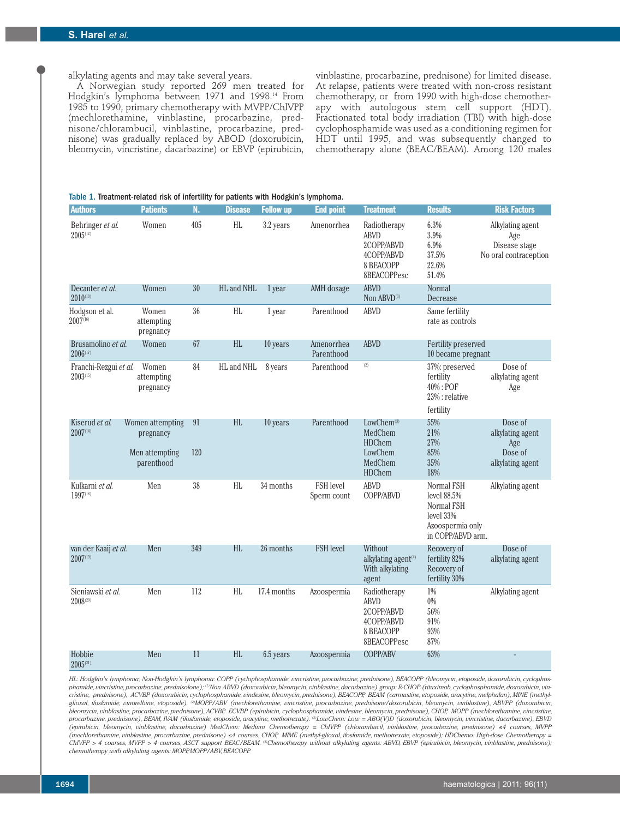### alkylating agents and may take several years.

A Norwegian study reported 269 men treated for Hodgkin's lymphoma between 1971 and 1998. <sup>14</sup> From 1985 to 1990, primary chemotherapy with MVPP/ChlVPP (mechlorethamine, vinblastine, procarbazine, prednisone/chlorambucil, vinblastine, procarbazine, prednisone) was gradually replaced by ABOD (doxorubicin, bleomycin, vincristine, dacarbazine) or EBVP (epirubicin,

vinblastine, procarbazine, prednisone) for limited disease. At relapse, patients were treated with non-cross resistant chemotherapy, or from 1990 with high-dose chemotherapy with autologous stem cell support (HDT). Fractionated total body irradiation (TBI) with high-dose cyclophosphamide was used as a conditioning regimen for HDT until 1995, and was subsequently changed to chemotherapy alone (BEAC/BEAM). Among 120 males

#### Table 1. Treatment-related risk of infertility for patients with Hodgkin's lymphoma.

| <b>Authors</b>                         | <b>Patients</b>                  | N.  | <b>Disease</b> | <b>Follow up</b> | <b>End point</b>         | <b>Treatment</b>                                                                    | <b>Results</b>                                                                                | <b>Risk Factors</b>                                               |
|----------------------------------------|----------------------------------|-----|----------------|------------------|--------------------------|-------------------------------------------------------------------------------------|-----------------------------------------------------------------------------------------------|-------------------------------------------------------------------|
| Behringer et al.<br>$2005^{(12)}$      | Women                            | 405 | $\rm HL$       | 3.2 years        | Amenorrhea               | Radiotherapy<br><b>ABVD</b><br>2COPP/ABVD<br>4COPP/ABVD<br>8 BEACOPP<br>8BEACOPPesc | 6.3%<br>3.9%<br>6.9%<br>37.5%<br>22.6%<br>51.4%                                               | Alkylating agent<br>Age<br>Disease stage<br>No oral contraception |
| Decanter et al.<br>$2010^{(13)}$       | Women                            | 30  | HL and NHL     | 1 year           | AMH dosage               | <b>ABVD</b><br>Non ABVD <sup>(1)</sup>                                              | <b>Normal</b><br>Decrease                                                                     |                                                                   |
| Hodgson et al.<br>$2007^{(16)}$        | Women<br>attempting<br>pregnancy | 36  | HL             | 1 year           | Parenthood               | <b>ABVD</b>                                                                         | Same fertility<br>rate as controls                                                            |                                                                   |
| Brusamolino et al.<br>$2006^{(17)}$    | Women                            | 67  | HL             | 10 years         | Amenorrhea<br>Parenthood | <b>ABVD</b>                                                                         | Fertility preserved<br>10 became pregnant                                                     |                                                                   |
| Franchi-Rezgui et al.<br>$2003^{(15)}$ | Women<br>attempting<br>pregnancy | 84  | HL and NHL     | 8 years          | Parenthood               | $\left( 2\right)$                                                                   | 37%: preserved<br>fertility<br>40%: POF<br>23% : relative<br>fertility                        | Dose of<br>alkylating agent<br>Age                                |
| Kiserud et al.<br>$2007^{(14)}$        | Women attempting<br>pregnancy    | 91  | HL             | 10 years         | Parenthood               | LowChem <sup>(3)</sup><br>MedChem<br><b>HDChem</b>                                  | 55%<br>21%<br>27%                                                                             | Dose of<br>alkylating agent<br>Age                                |
|                                        | Men attempting<br>parenthood     | 120 |                |                  |                          | LowChem<br>MedChem<br><b>HDChem</b>                                                 | 85%<br>35%<br>18%                                                                             | Dose of<br>alkylating agent                                       |
| Kulkarni et al.<br>1997(18)            | Men                              | 38  | <b>HL</b>      | 34 months        | FSH level<br>Sperm count | <b>ABVD</b><br>COPP/ABVD                                                            | Normal FSH<br>level 88.5%<br>Normal FSH<br>level 33%<br>Azoospermia only<br>in COPP/ABVD arm. | Alkylating agent                                                  |
| van der Kaaij et al.<br>$2007^{(19)}$  | Men                              | 349 | HL             | 26 months        | <b>FSH</b> level         | Without<br>alkylating agent <sup>(4)</sup><br>With alkylating<br>agent              | Recovery of<br>fertility 82%<br>Recovery of<br>fertility 30%                                  | Dose of<br>alkylating agent                                       |
| Sieniawski et al.<br>$2008^{(20)}$     | Men                              | 112 | <b>HL</b>      | 17.4 months      | Azoospermia              | Radiotherapy<br><b>ABVD</b><br>2COPP/ABVD<br>4COPP/ABVD<br>8 BEACOPP<br>8BEACOPPesc | 1%<br>$0\%$<br>56%<br>91%<br>93%<br>87%                                                       | Alkylating agent                                                  |
| Hobbie<br>$2005^{(21)}$                | Men                              | 11  | HL             | 6.5 years        | Azoospermia              | <b>COPP/ABV</b>                                                                     | 63%                                                                                           |                                                                   |

HL: Hodgkin's lymphoma; Non-Hodgkin's lymphoma: COPP (cyclophosphamide, vincristine, procarbazine, prednisone), BEACOPP (bleomycin, etoposide, doxorubicin, cyclophosphamide, vincristine, procarbazine, prednisolone); ™on ABVD (doxorubicin, bleomycin, vinblastine, dacarbazine) group: R-CHOP (rituximab, cyclophosphamide, doxorubicin, vincristine, prednisone), ACVBP (doxorubicin, cyclophosphamide, vindesine, bleomycin, prednisone), BEACOPP, BEAM (carmustine, etoposide, aracytine, melphalan), MINE (methylglioxal, ifosfamide, vinorelbine, etoposide). ®MOPP/ABV (mechlorethamine, vincristine, procarbazine, prednisone/doxorubicin, bleomycin, vinblastine), ABVPP (doxorubicin, bleomycin, vinblastine, procarbazine, prednisone), ACVBP, ECVBP (epirubicin, cyclophosphamide, vindesine, bleomycin, prednisone), CHOP, MOPP (mechlorethamine, vincristine, procarbazine, prednisone), BEAM, IVAM (ifosfamide, etoposide, aracytine, methotrexate). ®LowChem: Low = ABO(V)D (doxorubicin, bleomycin, vincristine, dacarbazine), EBVD (epirubicin, bleomycin, vinblastine, dacarbazine) MedChem: Medium Chemotherapy = ChIVPP (chlorambucil, vinblastine, procarbazine, prednisone) ≤4 courses, MVPP (mechlorethamine, vinblastine, procarbazine, prednisone) ≤4 courses, CHOP, MIME (methyl-glioxal, ifosfamide, methotrexate, etoposide); HDChemo: High-dose Chemotherapy ChIVPP > 4 courses, MVPP > 4 courses, ASCT support BEAC/BEAM. ®Chemotherapy without alkylating agents: ABVD, EBVP (epirubicin, bleomycin, vinblastine, prednisone); *chemotherapy with alkylating agents: MOPP,MOPP/ABV,BEACOPP.*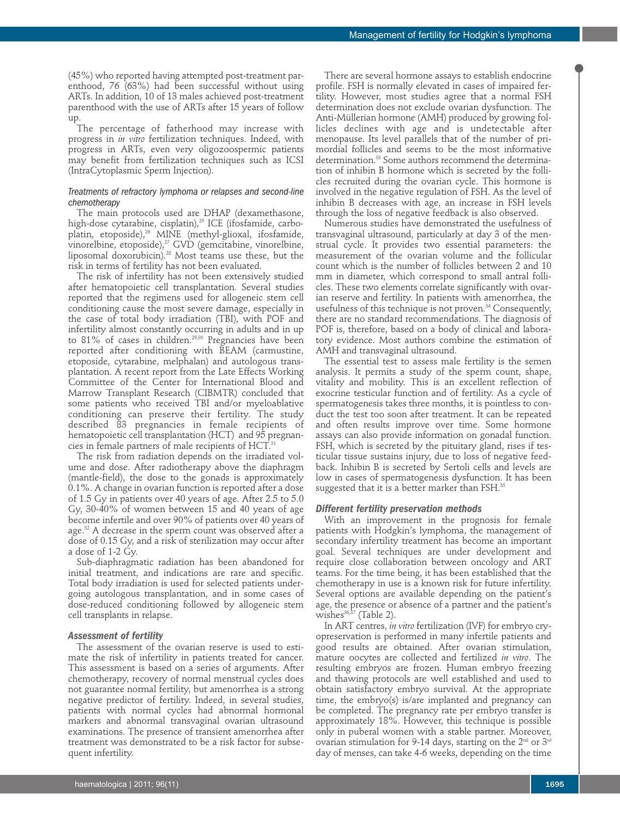(45%) who reported having attempted post-treatment parenthood, 76 (63%) had been successful without using ARTs. In addition, 10 of 13 males achieved post-treatment parenthood with the use of ARTs after 15 years of follow up.

The percentage of fatherhood may increase with progress in *in vitro* fertilization techniques. Indeed, with progress in ARTs, even very oligozoospermic patients may benefit from fertilization techniques such as ICSI (IntraCytoplasmic Sperm Injection).

## *Treatments of refractory lymphoma or relapses and second-line chemotherapy*

The main protocols used are DHAP (dexamethasone, high-dose cytarabine, cisplatin), <sup>25</sup> ICE (ifosfamide, carboplatin, etoposide), <sup>26</sup> MINE (methyl-glioxal, ifosfamide, vinorelbine, etoposide), <sup>27</sup> GVD (gemcitabine, vinorelbine, liposomal doxorubicin). <sup>28</sup> Most teams use these, but the risk in terms of fertility has not been evaluated.

The risk of infertility has not been extensively studied after hematopoietic cell transplantation. Several studies reported that the regimens used for allogeneic stem cell conditioning cause the most severe damage, especially in the case of total body irradiation (TBI), with POF and infertility almost constantly occurring in adults and in up to 81% of cases in children. 29,30 Pregnancies have been reported after conditioning with BEAM (carmustine, etoposide, cytarabine, melphalan) and autologous transplantation. A recent report from the Late Effects Working Committee of the Center for International Blood and Marrow Transplant Research (CIBMTR) concluded that some patients who received TBI and/or myeloablative conditioning can preserve their fertility. The study described 83 pregnancies in female recipients of hematopoietic cell transplantation (HCT) and 95 pregnancies in female partners of male recipients of HCT. 31

The risk from radiation depends on the irradiated volume and dose. After radiotherapy above the diaphragm (mantle-field), the dose to the gonads is approximately 0.1%. A change in ovarian function is reported after a dose of 1.5 Gy in patients over 40 years of age. After 2.5 to 5.0 Gy, 30-40% of women between 15 and 40 years of age become infertile and over 90% of patients over 40 years of age. <sup>32</sup> A decrease in the sperm count was observed after a dose of 0.15 Gy, and a risk of sterilization may occur after a dose of 1-2 Gy.

Sub-diaphragmatic radiation has been abandoned for initial treatment, and indications are rare and specific. Total body irradiation is used for selected patients undergoing autologous transplantation, and in some cases of dose-reduced conditioning followed by allogeneic stem cell transplants in relapse.

## *Assessment of fertility*

The assessment of the ovarian reserve is used to estimate the risk of infertility in patients treated for cancer. This assessment is based on a series of arguments. After chemotherapy, recovery of normal menstrual cycles does not guarantee normal fertility, but amenorrhea is a strong negative predictor of fertility. Indeed, in several studies, patients with normal cycles had abnormal hormonal markers and abnormal transvaginal ovarian ultrasound examinations. The presence of transient amenorrhea after treatment was demonstrated to be a risk factor for subsequent infertility.

There are several hormone assays to establish endocrine profile. FSH is normally elevated in cases of impaired fertility. However, most studies agree that a normal FSH determination does not exclude ovarian dysfunction. The Anti-Müllerian hormone (AMH) produced by growing follicles declines with age and is undetectable after menopause. Its level parallels that of the number of primordial follicles and seems to be the most informative determination. <sup>33</sup> Some authors recommend the determination of inhibin B hormone which is secreted by the follicles recruited during the ovarian cycle. This hormone is involved in the negative regulation of FSH. As the level of inhibin B decreases with age, an increase in FSH levels through the loss of negative feedback is also observed.

Numerous studies have demonstrated the usefulness of transvaginal ultrasound, particularly at day 3 of the menstrual cycle. It provides two essential parameters: the measurement of the ovarian volume and the follicular count which is the number of follicles between 2 and 10 mm in diameter, which correspond to small antral follicles. These two elements correlate significantly with ovarian reserve and fertility. In patients with amenorrhea, the usefulness of this technique is not proven. <sup>34</sup> Consequently, there are no standard recommendations. The diagnosis of POF is, therefore, based on a body of clinical and laboratory evidence. Most authors combine the estimation of AMH and transvaginal ultrasound.

The essential test to assess male fertility is the semen analysis. It permits a study of the sperm count, shape, vitality and mobility. This is an excellent reflection of exocrine testicular function and of fertility. As a cycle of spermatogenesis takes three months, it is pointless to conduct the test too soon after treatment. It can be repeated and often results improve over time. Some hormone assays can also provide information on gonadal function. FSH, which is secreted by the pituitary gland, rises if testicular tissue sustains injury, due to loss of negative feedback. Inhibin B is secreted by Sertoli cells and levels are low in cases of spermatogenesis dysfunction. It has been suggested that it is a better marker than FSH. 35

## *Different fertility preservation methods*

With an improvement in the prognosis for female patients with Hodgkin's lymphoma, the management of secondary infertility treatment has become an important goal. Several techniques are under development and require close collaboration between oncology and ART teams. For the time being, it has been established that the chemotherapy in use is a known risk for future infertility. Several options are available depending on the patient's age, the presence or absence of a partner and the patient's wishes $36,37$  (Table 2).

In ART centres, *in vitro* fertilization (IVF) for embryo cryopreservation is performed in many infertile patients and good results are obtained. After ovarian stimulation, mature oocytes are collected and fertilized *in vitro*. The resulting embryos are frozen. Human embryo freezing and thawing protocols are well established and used to obtain satisfactory embryo survival. At the appropriate time, the embryo(s) is/are implanted and pregnancy can be completed. The pregnancy rate per embryo transfer is approximately 18%. However, this technique is possible only in puberal women with a stable partner. Moreover, ovarian stimulation for 9-14 days, starting on the  $2<sup>nd</sup>$  or  $3<sup>rd</sup>$ day of menses, can take 4-6 weeks, depending on the time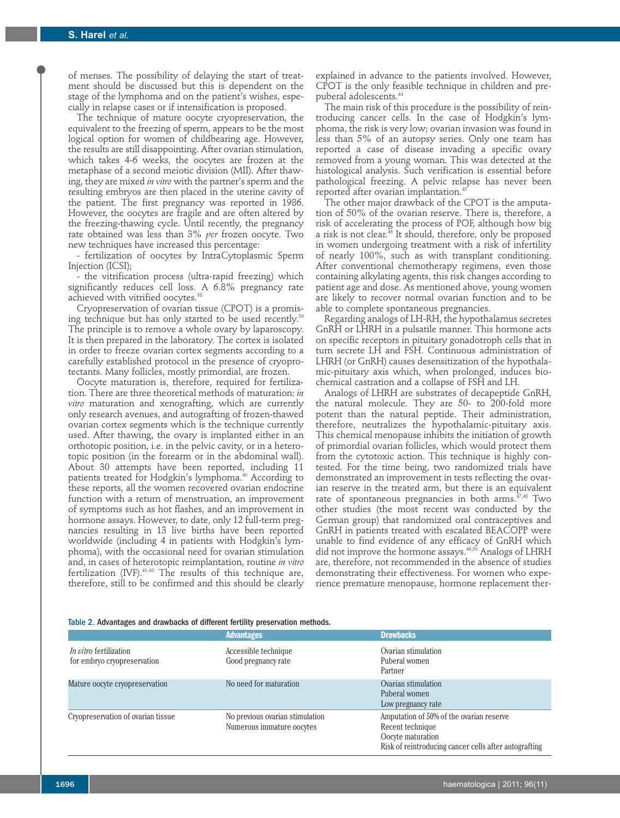of menses. The possibility of delaying the start of treatment should be discussed but this is dependent on the stage of the lymphoma and on the patient's wishes, especially in relapse cases or if intensification is proposed.

The technique of mature oocyte cryopreservation, the equivalent to the freezing of sperm, appears to be the most logical option for women of childbearing age. However, the results are still disappointing. After ovarian stimulation, which takes 4-6 weeks, the oocytes are frozen at the metaphase of a second meiotic division (MII). After thawing, they are mixed *in vitro* with the partner's sperm and the resulting embryos are then placed in the uterine cavity of the patient. The first pregnancy was reported in 1986. However, the oocytes are fragile and are often altered by the freezing-thawing cycle. Until recently, the pregnancy rate obtained was less than 3% *per* frozen oocyte. Two new techniques have increased this percentage:

- fertilization of oocytes by IntraCytoplasmic Sperm Injection (ICSI);

- the vitrification process (ultra-rapid freezing) which significantly reduces cell loss. A 6.8% pregnancy rate achieved with vitrified oocytes. 38

Cryopreservation of ovarian tissue (CPOT) is a promising technique but has only started to be used recently. 39 The principle is to remove a whole ovary by laparoscopy. It is then prepared in the laboratory. The cortex is isolated in order to freeze ovarian cortex segments according to a carefully established protocol in the presence of cryoprotectants. Many follicles, mostly primordial, are frozen.

Oocyte maturation is, therefore, required for fertilization. There are three theoretical methods of maturation: *in vitro* maturation and xenografting, which are currently only research avenues, and autografting of frozen-thawed ovarian cortex segments which is the technique currently used. After thawing, the ovary is implanted either in an orthotopic position, i.e. in the pelvic cavity, or in a heterotopic position (in the forearm or in the abdominal wall). About 30 attempts have been reported, including 11 patients treated for Hodgkin's lymphoma. <sup>40</sup> According to these reports, all the women recovered ovarian endocrine function with a return of menstruation, an improvement of symptoms such as hot flashes, and an improvement in hormone assays. However, to date, only 12 full-term pregnancies resulting in 13 live births have been reported worldwide (including 4 in patients with Hodgkin's lymphoma), with the occasional need for ovarian stimulation and, in cases of heterotopic reimplantation, routine *in vitro* fertilization (IVF). 41-43 The results of this technique are, therefore, still to be confirmed and this should be clearly

explained in advance to the patients involved. However, CPOT is the only feasible technique in children and prepuberal adolescents. 44

The main risk of this procedure is the possibility of reintroducing cancer cells. In the case of Hodgkin's lymphoma, the risk is very low; ovarian invasion was found in less than 5% of an autopsy series. Only one team has reported a case of disease invading a specific ovary removed from a young woman. This was detected at the histological analysis. Such verification is essential before pathological freezing. A pelvic relapse has never been reported after ovarian implantation. 45

The other major drawback of the CPOT is the amputation of 50% of the ovarian reserve. There is, therefore, a risk of accelerating the process of POF, although how big a risk is not clear. <sup>46</sup> It should, therefore, only be proposed in women undergoing treatment with a risk of infertility of nearly 100%, such as with transplant conditioning. After conventional chemotherapy regimens, even those containing alkylating agents, this risk changes according to patient age and dose. As mentioned above, young women are likely to recover normal ovarian function and to be able to complete spontaneous pregnancies.

Regarding analogs of LH-RH, the hypothalamus secretes GnRH or LHRH in a pulsatile manner. This hormone acts on specific receptors in pituitary gonadotroph cells that in turn secrete LH and FSH. Continuous administration of LHRH (or GnRH) causes desensitization of the hypothalamic-pituitary axis which, when prolonged, induces biochemical castration and a collapse of FSH and LH.

Analogs of LHRH are substrates of decapeptide GnRH, the natural molecule. They are 50- to 200-fold more potent than the natural peptide. Their administration, therefore, neutralizes the hypothalamic-pituitary axis. This chemical menopause inhibits the initiation of growth of primordial ovarian follicles, which would protect them from the cytotoxic action. This technique is highly contested. For the time being, two randomized trials have demonstrated an improvement in tests reflecting the ovarian reserve in the treated arm, but there is an equivalent rate of spontaneous pregnancies in both arms. 47,48 Two other studies (the most recent was conducted by the German group) that randomized oral contraceptives and GnRH in patients treated with escalated BEACOPP were unable to find evidence of any efficacy of GnRH which did not improve the hormone assays. 49,50 Analogs of LHRH are, therefore, not recommended in the absence of studies demonstrating their effectiveness. For women who experience premature menopause, hormone replacement ther-

| Table 2. Advantages and drawbacks of different fertility preservation methods. |  |  |  |  |  |  |  |  |  |
|--------------------------------------------------------------------------------|--|--|--|--|--|--|--|--|--|
|--------------------------------------------------------------------------------|--|--|--|--|--|--|--|--|--|

|                                                              | <b>Advantages</b>                                            | <b>Drawbacks</b>                                                                                                                           |
|--------------------------------------------------------------|--------------------------------------------------------------|--------------------------------------------------------------------------------------------------------------------------------------------|
| <i>In vitro</i> fertilization<br>for embryo cryopreservation | Accessible technique<br>Good pregnancy rate                  | Ovarian stimulation<br>Puberal women<br>Partner                                                                                            |
| Mature oocyte cryopreservation                               | No need for maturation                                       | Ovarian stimulation<br>Puberal women<br>Low pregnancy rate                                                                                 |
| Cryopreservation of ovarian tissue                           | No previous ovarian stimulation<br>Numerous immature oocytes | Amputation of 50% of the ovarian reserve<br>Recent technique<br>Oocyte maturation<br>Risk of reintroducing cancer cells after autografting |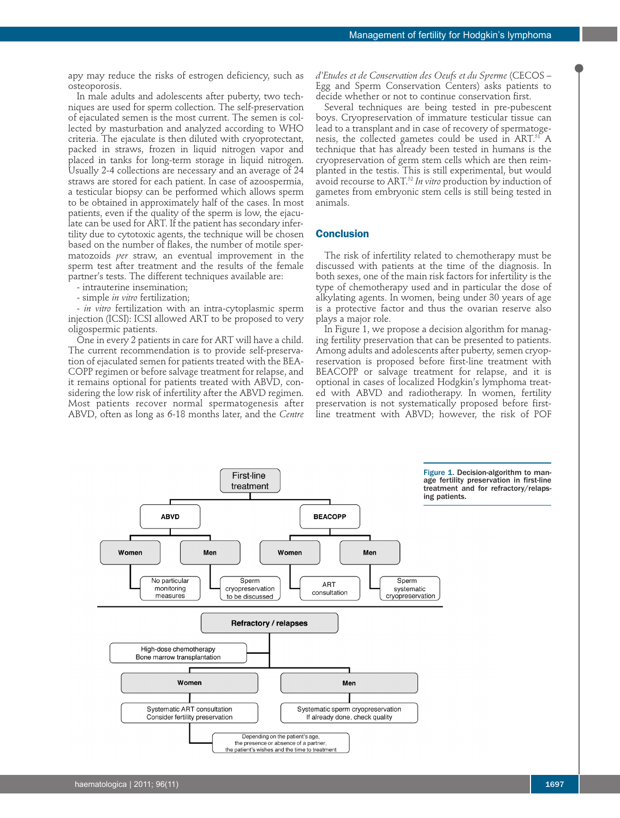apy may reduce the risks of estrogen deficiency, such as osteoporosis.

In male adults and adolescents after puberty, two techniques are used for sperm collection. The self-preservation of ejaculated semen is the most current. The semen is collected by masturbation and analyzed according to WHO criteria. The ejaculate is then diluted with cryoprotectant, packed in straws, frozen in liquid nitrogen vapor and placed in tanks for long-term storage in liquid nitrogen. Usually 2-4 collections are necessary and an average of 24 straws are stored for each patient. In case of azoospermia, a testicular biopsy can be performed which allows sperm to be obtained in approximately half of the cases. In most patients, even if the quality of the sperm is low, the ejaculate can be used for ART. If the patient has secondary infertility due to cytotoxic agents, the technique will be chosen based on the number of flakes, the number of motile spermatozoids *per* straw, an eventual improvement in the sperm test after treatment and the results of the female partner's tests. The different techniques available are:

- intrauterine insemination;

- simple *in vitro* fertilization;

- *in vitro* fertilization with an intra-cytoplasmic sperm injection (ICSI): ICSI allowed ART to be proposed to very oligospermic patients.

One in every 2 patients in care for ART will have a child. The current recommendation is to provide self-preservation of ejaculated semen for patients treated with the BEA-COPP regimen or before salvage treatment for relapse, and it remains optional for patients treated with ABVD, considering the low risk of infertility after the ABVD regimen. Most patients recover normal spermatogenesis after ABVD, often as long as 6-18 months later, and the *Centre*

*d'Etudes et de Conservation des Oeufs et du Sperme* (CECOS – Egg and Sperm Conservation Centers) asks patients to decide whether or not to continue conservation first.

Several techniques are being tested in pre-pubescent boys. Cryopreservation of immature testicular tissue can lead to a transplant and in case of recovery of spermatogenesis, the collected gametes could be used in ART. <sup>51</sup> A technique that has already been tested in humans is the cryopreservation of germ stem cells which are then reimplanted in the testis. This is still experimental, but would avoid recourse to ART. <sup>52</sup> *In vitro* production by induction of gametes from embryonic stem cells is still being tested in animals.

## **Conclusion**

The risk of infertility related to chemotherapy must be discussed with patients at the time of the diagnosis. In both sexes, one of the main risk factors for infertility is the type of chemotherapy used and in particular the dose of alkylating agents. In women, being under 30 years of age is a protective factor and thus the ovarian reserve also plays a major role.

In Figure 1, we propose a decision algorithm for managing fertility preservation that can be presented to patients. Among adults and adolescents after puberty, semen cryopreservation is proposed before first-line treatment with BEACOPP or salvage treatment for relapse, and it is optional in cases of localized Hodgkin's lymphoma treated with ABVD and radiotherapy. In women, fertility preservation is not systematically proposed before firstline treatment with ABVD; however, the risk of POF

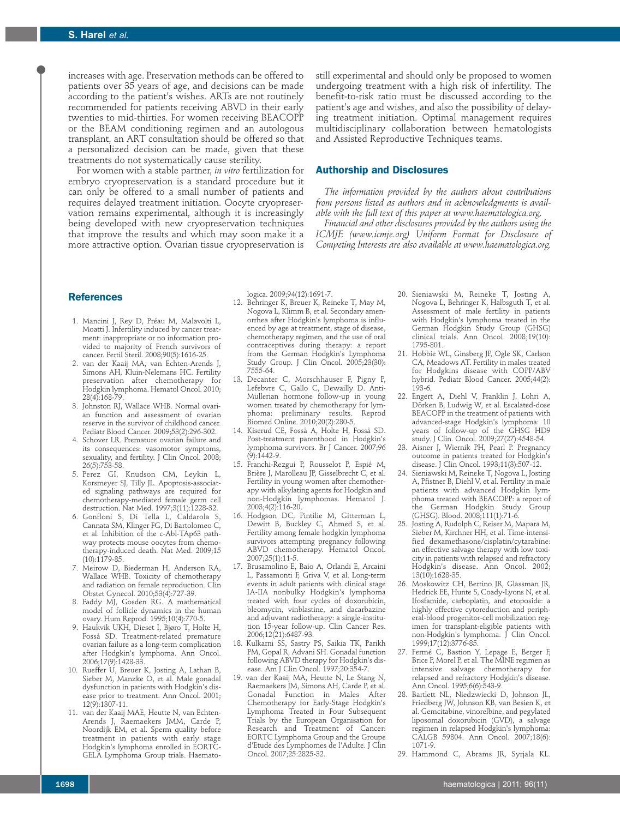increases with age. Preservation methods can be offered to patients over 35 years of age, and decisions can be made according to the patient's wishes. ARTs are not routinely recommended for patients receiving ABVD in their early twenties to mid-thirties. For women receiving BEACOPP or the BEAM conditioning regimen and an autologous transplant, an ART consultation should be offered so that a personalized decision can be made, given that these treatments do not systematically cause sterility.

For women with a stable partner, *in vitro* fertilization for embryo cryopreservation is a standard procedure but it can only be offered to a small number of patients and requires delayed treatment initiation. Oocyte cryopreservation remains experimental, although it is increasingly being developed with new cryopreservation techniques that improve the results and which may soon make it a more attractive option. Ovarian tissue cryopreservation is

still experimental and should only be proposed to women undergoing treatment with a high risk of infertility. The benefit-to-risk ratio must be discussed according to the patient's age and wishes, and also the possibility of delaying treatment initiation. Optimal management requires multidisciplinary collaboration between hematologists and Assisted Reproductive Techniques teams.

# **Authorship and Disclosures**

*The information provided by the authors about contributions from persons listed as authors and in acknowledgments is available with the full text of this paper at www.haematologica.org.*

*Financial and other disclosures provided by the authors using the ICMJE (www.icmje.org) Uniform Format for Disclosure of Competing Interests are also available at www.haematologica.org.*

## **References**

- 1. Mancini J, Rey D, Préau M, Malavolti L, Moatti J. Infertility induced by cancer treatment: inappropriate or no information provided to majority of French survivors of cancer. Fertil Steril. 2008;90(5):1616-25.
- 2. van der Kaaij MA, van Echten-Arends J, Simons AH, Kluin-Nelemans HC. Fertility preservation after chemotherapy for Hodgkin lymphoma. Hematol Oncol. 2010; 28(4):168-79.
- 3. Johnston RJ, Wallace WHB. Normal ovarian function and assessment of ovarian reserve in the survivor of childhood cancer. Pediatr Blood Cancer. 2009;53(2):296-302.
- 4. Schover LR. Premature ovarian failure and its consequences: vasomotor symptoms, sexuality, and fertility. J Clin Oncol. 2008; 26(5):753-58.
- 5. Perez GI, Knudson CM, Leykin L, Korsmeyer SJ, Tilly JL. Apoptosis-associated signaling pathways are required for chemotherapy-mediated female germ cell destruction. Nat Med. 1997;3(11):1228-32.
- 6. Gonfloni S, Di Tella L, Caldarola S, Cannata SM, Klinger FG, Di Bartolomeo C, et al. Inhibition of the c-Abl-TAp63 pathway protects mouse oocytes from chemotherapy-induced death. Nat Med. 2009;15  $(10):1179-85.$
- 7. Meirow D, Biederman H, Anderson RA, Wallace WHB. Toxicity of chemotherapy and radiation on female reproduction. Clin Obstet Gynecol. 2010;53(4):727-39.
- 8. Faddy MJ, Gosden RG. A mathematical model of follicle dynamics in the human ovary. Hum Reprod. 1995;10(4):770-5.
- 9. Haukvik UKH, Dieset I, Bjøro T, Holte H, Fosså SD. Treatment-related premature ovarian failure as a long-term complication after Hodgkin's lymphoma. Ann Oncol. 2006;17(9):1428-33.
- 10. Rueffer U, Breuer K, Josting A, Lathan B, Sieber M, Manzke O, et al. Male gonadal dysfunction in patients with Hodgkin's disease prior to treatment. Ann Oncol. 2001; 12(9):1307-11.
- 11. van der Kaaij MAE, Heutte N, van Echten-Arends J, Raemaekers JMM, Carde P, Noordijk EM, et al. Sperm quality before treatment in patients with early stage Hodgkin's lymphoma enrolled in EORTC-GELA Lymphoma Group trials. Haemato-

logica. 2009;94(12):1691-7.

- 12. Behringer K, Breuer K, Reineke T, May M, Nogova L, Klimm B, et al. Secondary amenorrhea after Hodgkin's lymphoma is influenced by age at treatment, stage of disease, chemotherapy regimen, and the use of oral contraceptives during therapy: a report from the German Hodgkin's Lymphoma Study Group. J Clin Oncol. 2005;23(30): 7555-64.
- 13. Decanter C, Morschhauser F, Pigny P, Lefebvre C, Gallo C, Dewailly D. Anti-Müllerian hormone follow-up in young women treated by chemotherapy for lymphoma: preliminary results. Reprod Biomed Online. 2010;20(2):280-5.
- 14. Kiserud CE, Fosså A, Holte H, Fosså SD. Post-treatment parenthood in Hodgkin's lymphoma survivors. Br J Cancer. 2007;96 (9):1442-9.
- 15. Franchi-Rezgui P, Rousselot P, Espié M, Brière J, Marolleau JP, Gisselbrecht C, et al. Fertility in young women after chemotherapy with alkylating agents for Hodgkin and non-Hodgkin lymphomas. Hematol J. 2003;4(2):116-20.
- 16. Hodgson DC, Pintilie M, Gitterman L, Dewitt B, Buckley C, Ahmed S, et al. Fertility among female hodgkin lymphoma survivors attempting pregnancy following ABVD chemotherapy. Hematol Oncol. 2007;25(1):11-5.
- 17. Brusamolino E, Baio A, Orlandi E, Arcaini L, Passamonti F, Griva V, et al. Long-term events in adult patients with clinical stage IA-IIA nonbulky Hodgkin's lymphoma treated with four cycles of doxorubicin, bleomycin, vinblastine, and dacarbazine and adjuvant radiotherapy: a single-institution 15-year follow-up. Clin Cancer Res. 2006;12(21):6487-93.
- 18. Kulkarni SS, Sastry PS, Saikia TK, Parikh PM, Gopal R, Advani SH. Gonadal function following ABVD therapy for Hodgkin's disease. Am J Clin Oncol. 1997;20:354-7.
- 19. van der Kaaij MA, Heutte N, Le Stang N, Raemaekers JM, Simons AH, Carde P, et al. Gonadal Function in Males After Chemotherapy for Early-Stage Hodgkin's Lymphoma Treated in Four Subsequent Trials by the European Organisation for Research and Treatment of Cancer: EORTC Lymphoma Group and the Groupe d'Etude des Lymphomes de l'Adulte. J Clin Oncol. 2007;25:2825-32.
- 20. Sieniawski M, Reineke T, Josting A, Nogova L, Behringer K, Halbsguth T, et al. Assessment of male fertility in patients with Hodgkin's lymphoma treated in the German Hodgkin Study Group (GHSG) clinical trials. Ann Oncol. 2008;19(10): 1795-801.
- 21. Hobbie WL, Ginsberg JP, Ogle SK, Carlson CA, Meadows AT. Fertility in males treated for Hodgkins disease with COPP/ABV hybrid. Pediatr Blood Cancer. 2005;44(2): 193-6.
- 22. Engert A, Diehl V, Franklin J, Lohri A, Dörken B, Ludwig W, et al. Escalated-dose BEACOPP in the treatment of patients with advanced-stage Hodgkin's lymphoma: 10 years of follow-up of the GHSG HD9 study. J Clin. Oncol. 2009;27(27):4548-54.
- 23. Aisner J, Wiernik PH, Pearl P. Pregnancy outcome in patients treated for Hodgkin's disease. J Clin Oncol. 1993;11(3):507-12.
- 24. Sieniawski M, Reineke T, Nogova L, Josting A, Pfistner B, Diehl V, et al. Fertility in male patients with advanced Hodgkin lymphoma treated with BEACOPP: a report of the German Hodgkin Study Group (GHSG). Blood. 2008;111(1):71-6.
- 25. Josting A, Rudolph C, Reiser M, Mapara M, Sieber M, Kirchner HH, et al. Time-intensified dexamethasone/cisplatin/cytarabine: an effective salvage therapy with low toxicity in patients with relapsed and refractory Hodgkin's disease. Ann Oncol. 2002; 13(10):1628-35.
- 26. Moskowitz CH, Bertino JR, Glassman JR, Hedrick EE, Hunte S, Coady-Lyons N, et al. Ifosfamide, carboplatin, and etoposide: a highly effective cytoreduction and peripheral-blood progenitor-cell mobilization regimen for transplant-eligible patients with non-Hodgkin's lymphoma. J Clin Oncol. 1999;17(12):3776-85.
- 27. Fermé C, Bastion Y, Lepage E, Berger F, Brice P, Morel P, et al. The MINE regimen as intensive salvage chemotherapy for relapsed and refractory Hodgkin's disease. Ann Oncol. 1995;6(6):543-9.
- 28. Bartlett NL, Niedzwiecki D, Johnson JL, Friedberg JW, Johnson KB, van Besien K, et al. Gemcitabine, vinorelbine, and pegylated liposomal doxorubicin (GVD), a salvage regimen in relapsed Hodgkin's lymphoma: CALGB 59804. Ann Oncol. 2007;18(6): 1071-9.
- 29. Hammond C, Abrams JR, Syrjala KL.